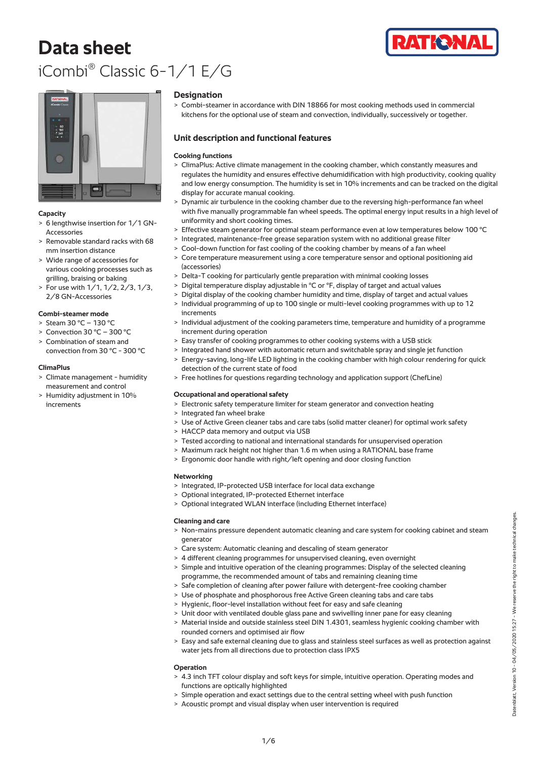# **Data sheet** iCombi® Classic 6-1/1 E/G





# **Capacity**

- > 6 lengthwise insertion for 1/1 GN-Accessories
- > Removable standard racks with 68 mm insertion distance
- > Wide range of accessories for various cooking processes such as grilling, braising or baking
- > For use with 1/1, 1/2, 2/3, 1/3, 2/8 GN-Accessories

# **Combi-steamer mode**

- > Steam 30 °C 130 °C
- > Convection 30 °C 300 °C
- > Combination of steam and convection from 30 °C - 300 °C

# **ClimaPlus**

- > Climate management humidity measurement and control
- > Humidity adjustment in 10% increments

# **Designation**

> Combi-steamer in accordance with DIN 18866 for most cooking methods used in commercial kitchens for the optional use of steam and convection, individually, successively or together.

# **Unit description and functional features**

# **Cooking functions**

- > ClimaPlus: Active climate management in the cooking chamber, which constantly measures and regulates the humidity and ensures effective dehumidification with high productivity, cooking quality and low energy consumption. The humidity is set in 10% increments and can be tracked on the digital display for accurate manual cooking.
- > Dynamic air turbulence in the cooking chamber due to the reversing high-performance fan wheel with five manually programmable fan wheel speeds. The optimal energy input results in a high level of uniformity and short cooking times.
- > Effective steam generator for optimal steam performance even at low temperatures below 100 °C
- > Integrated, maintenance-free grease separation system with no additional grease filter
- > Cool-down function for fast cooling of the cooking chamber by means of a fan wheel
- > Core temperature measurement using a core temperature sensor and optional positioning aid (accessories)
- > Delta-T cooking for particularly gentle preparation with minimal cooking losses
- > Digital temperature display adjustable in °C or °F, display of target and actual values
- > Digital display of the cooking chamber humidity and time, display of target and actual values
- > Individual programming of up to 100 single or multi-level cooking programmes with up to 12 increments
- > Individual adjustment of the cooking parameters time, temperature and humidity of a programme increment during operation
- > Easy transfer of cooking programmes to other cooking systems with a USB stick
- > Integrated hand shower with automatic return and switchable spray and single jet function > Energy-saving, long-life LED lighting in the cooking chamber with high colour rendering for quick
- detection of the current state of food
- > Free hotlines for questions regarding technology and application support (ChefLine)

# **Occupational and operational safety**

- > Electronic safety temperature limiter for steam generator and convection heating
- > Integrated fan wheel brake
- > Use of Active Green cleaner tabs and care tabs (solid matter cleaner) for optimal work safety
- > HACCP data memory and output via USB
- > Tested according to national and international standards for unsupervised operation
- > Maximum rack height not higher than 1.6 m when using a RATIONAL base frame
- > Ergonomic door handle with right/left opening and door closing function

# **Networking**

- > Integrated, IP-protected USB interface for local data exchange
- > Optional integrated, IP-protected Ethernet interface
- > Optional integrated WLAN interface (including Ethernet interface)

#### **Cleaning and care**

- > Non-mains pressure dependent automatic cleaning and care system for cooking cabinet and steam generator
- > Care system: Automatic cleaning and descaling of steam generator
- > 4 different cleaning programmes for unsupervised cleaning, even overnight
- Simple and intuitive operation of the cleaning programmes: Display of the selected cleaning programme, the recommended amount of tabs and remaining cleaning time
- > Safe completion of cleaning after power failure with detergent-free cooking chamber
- > Use of phosphate and phosphorous free Active Green cleaning tabs and care tabs
- > Hygienic, floor-level installation without feet for easy and safe cleaning
- > Unit door with ventilated double glass pane and swivelling inner pane for easy cleaning
- > Material inside and outside stainless steel DIN 1.4301, seamless hygienic cooking chamber with rounded corners and optimised air flow
- > Easy and safe external cleaning due to glass and stainless steel surfaces as well as protection against water jets from all directions due to protection class IPX5

# **Operation**

- > 4.3 inch TFT colour display and soft keys for simple, intuitive operation. Operating modes and functions are optically highlighted
- > Simple operation and exact settings due to the central setting wheel with push function
- > Acoustic prompt and visual display when user intervention is required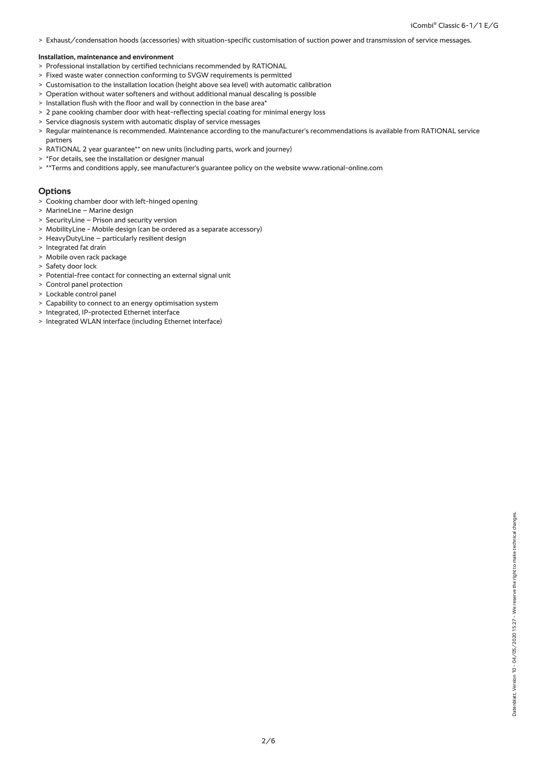> Exhaust/condensation hoods (accessories) with situation-specific customisation of suction power and transmission of service messages.

#### **Installation, maintenance and environment**

- > Professional installation by certified technicians recommended by RATIONAL
- > Fixed waste water connection conforming to SVGW requirements is permitted
- > Customisation to the installation location (height above sea level) with automatic calibration
- > Operation without water softeners and without additional manual descaling is possible
- > Installation flush with the floor and wall by connection in the base area\*
- > 2 pane cooking chamber door with heat-reflecting special coating for minimal energy loss
- > Service diagnosis system with automatic display of service messages
- > Regular maintenance is recommended. Maintenance according to the manufacturer's recommendations is available from RATIONAL service partners
- > RATIONAL 2 year guarantee\*\* on new units (including parts, work and journey)
- > \*For details, see the installation or designer manual
- > \*\*Terms and conditions apply, see manufacturer's guarantee policy on the website www.rational-online.com

# **Options**

- > Cooking chamber door with left-hinged opening
- > MarineLine Marine design
- > SecurityLine Prison and security version
- > MobilityLine Mobile design (can be ordered as a separate accessory)
- > HeavyDutyLine particularly resilient design
- > Integrated fat drain
- > Mobile oven rack package
- > Safety door lock
- > Potential-free contact for connecting an external signal unit
- > Control panel protection
- > Lockable control panel
- > Capability to connect to an energy optimisation system
- > Integrated, IP-protected Ethernet interface
- > Integrated WLAN interface (including Ethernet interface)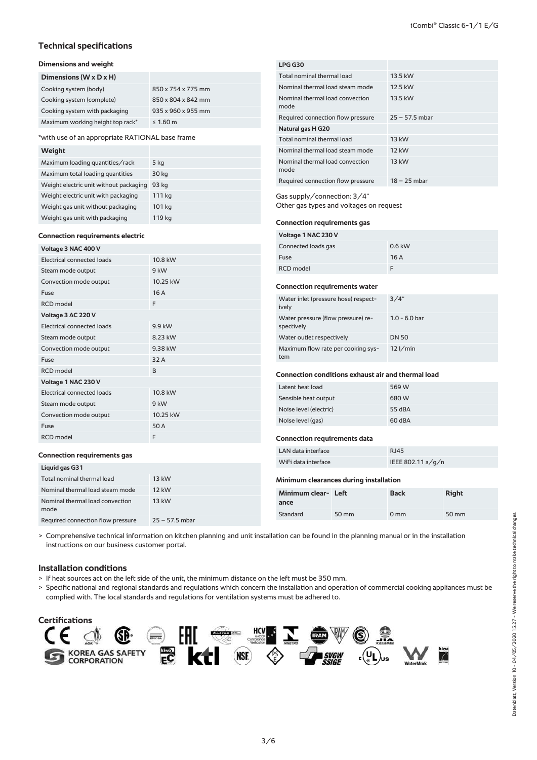# **Technical specifications**

# **Dimensions and weight**

| Dimensions (W x D x H)           |                    |
|----------------------------------|--------------------|
| Cooking system (body)            | 850 x 754 x 775 mm |
| Cooking system (complete)        | 850 x 804 x 842 mm |
| Cooking system with packaging    | 935 x 960 x 955 mm |
| Maximum working height top rack* | $\leq 1.60$ m      |

\*with use of an appropriate RATIONAL base frame

#### **Weight**

| Maximum loading quantities/rack        | 5 kg   |
|----------------------------------------|--------|
| Maximum total loading quantities       | 30 kg  |
| Weight electric unit without packaging | 93 ka  |
| Weight electric unit with packaging    | 111 kg |
| Weight gas unit without packaging      | 101 kg |
| Weight gas unit with packaging         | 119 kg |

# **Connection requirements electric**

| Voltage 3 NAC 400 V        |          |  |  |
|----------------------------|----------|--|--|
| Electrical connected loads | 10.8 kW  |  |  |
| Steam mode output          | 9 kW     |  |  |
| Convection mode output     | 10.25 kW |  |  |
| Fuse                       | 16A      |  |  |
| <b>RCD</b> model           | F        |  |  |
| Voltage 3 AC 220 V         |          |  |  |
| Electrical connected loads | 9.9 kW   |  |  |
| Steam mode output          | 8.23 kW  |  |  |
| Convection mode output     | 9.38 kW  |  |  |
| Fuse                       | 32 A     |  |  |
| <b>RCD</b> model           | B        |  |  |
| Voltage 1 NAC 230 V        |          |  |  |
| Electrical connected loads | 10.8 kW  |  |  |
| Steam mode output          | $9$ kW   |  |  |
| Convection mode output     | 10.25 kW |  |  |
| Fuse                       | 50 A     |  |  |
| <b>RCD</b> model           | F        |  |  |

# **LPG G30** Total nominal thermal load 13.5 kW Nominal thermal load steam mode 12.5 kW Nominal thermal load convection mode 13.5 kW Required connection flow pressure 25 – 57.5 mbar **Natural gas H G20** Total nominal thermal load 13 kW Nominal thermal load steam mode 12 kW Nominal thermal load convection mode 13 kW Required connection flow pressure  $18 - 25$  mbar Gas supply/connection: 3/4'' Other gas types and voltages on request

# **Connection requirements gas**

| Voltage 1 NAC 230 V |          |  |
|---------------------|----------|--|
| Connected loads gas | $0.6$ kW |  |
| Fuse                | 16A      |  |
| RCD model           |          |  |

#### **Connection requirements water**

| Water inlet (pressure hose) respect-<br>ively    | 3/4"            |
|--------------------------------------------------|-----------------|
| Water pressure (flow pressure) re-<br>spectively | $1.0 - 6.0$ bar |
| Water outlet respectively                        | <b>DN 50</b>    |
| Maximum flow rate per cooking sys-<br>tem        | $12$ I/min      |

## **Connection conditions exhaust air and thermal load**

| Latent heat load       | 569 W  |
|------------------------|--------|
| Sensible heat output   | 680 W  |
| Noise level (electric) | 55 dBA |
| Noise level (gas)      | 60 dBA |

# **Connection requirements data**

| LAN data interface  | RJ45              |
|---------------------|-------------------|
| WiFi data interface | IEEE 802.11 a/g/n |

## **Connection requirements gas**

| Liquid gas G31                  |         |
|---------------------------------|---------|
| Total nominal thermal load      | 13 kW   |
| Nominal thermal load steam mode | $12$ kW |
| Nominal thermal load convection | 13 kW   |

Required connection flow pressure 25 – 57.5 mbar

# **Minimum clearances during installation**

| Minimum clear- Left<br>ance |       | <b>Back</b>    | <b>Right</b>       |
|-----------------------------|-------|----------------|--------------------|
| Standard                    | 50 mm | $0 \text{ mm}$ | $50 \,\mathrm{mm}$ |

> Comprehensive technical information on kitchen planning and unit installation can be found in the planning manual or in the installation instructions on our business customer portal.

# **Installation conditions**

mode

- > If heat sources act on the left side of the unit, the minimum distance on the left must be 350 mm.
- > Specific national and regional standards and regulations which concern the installation and operation of commercial cooking appliances must be complied with. The local standards and regulations for ventilation systems must be adhered to.

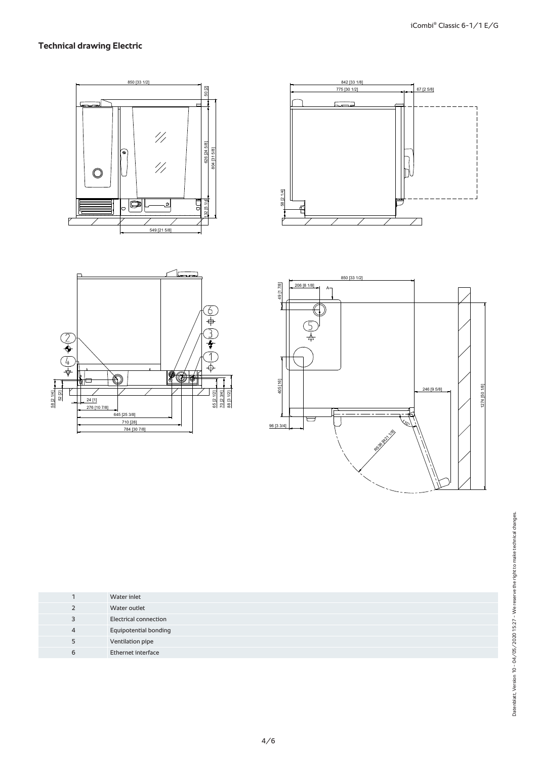# **Technical drawing Electric**









|   | Water inlet                  |
|---|------------------------------|
|   | Water outlet                 |
| 3 | <b>Electrical connection</b> |
| 4 | <b>Equipotential bonding</b> |
| 5 | Ventilation pipe             |
| 6 | Ethernet interface           |
|   |                              |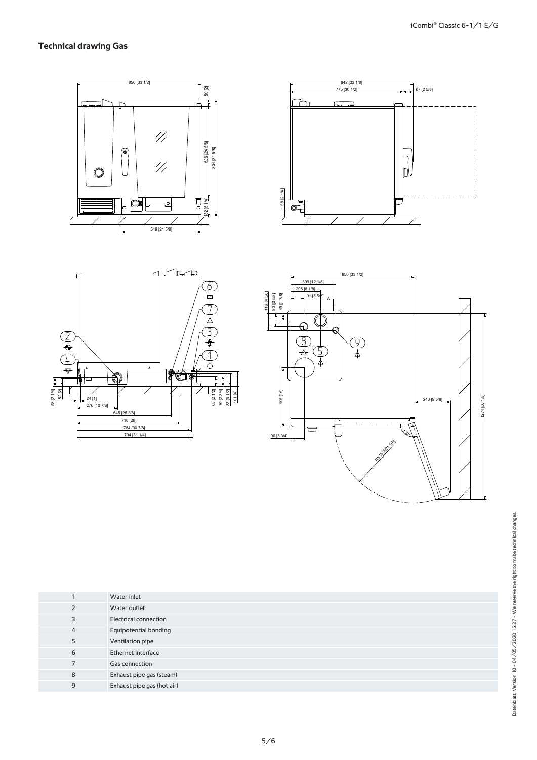# **Technical drawing Gas**









|                | Water inlet                  |
|----------------|------------------------------|
| 2              | Water outlet                 |
| 3              | <b>Electrical connection</b> |
| $\overline{4}$ | <b>Equipotential bonding</b> |
| 5              | Ventilation pipe             |
| 6              | Ethernet interface           |
| $\overline{7}$ | Gas connection               |
| 8              | Exhaust pipe gas (steam)     |
| 9              | Exhaust pipe gas (hot air)   |
|                |                              |